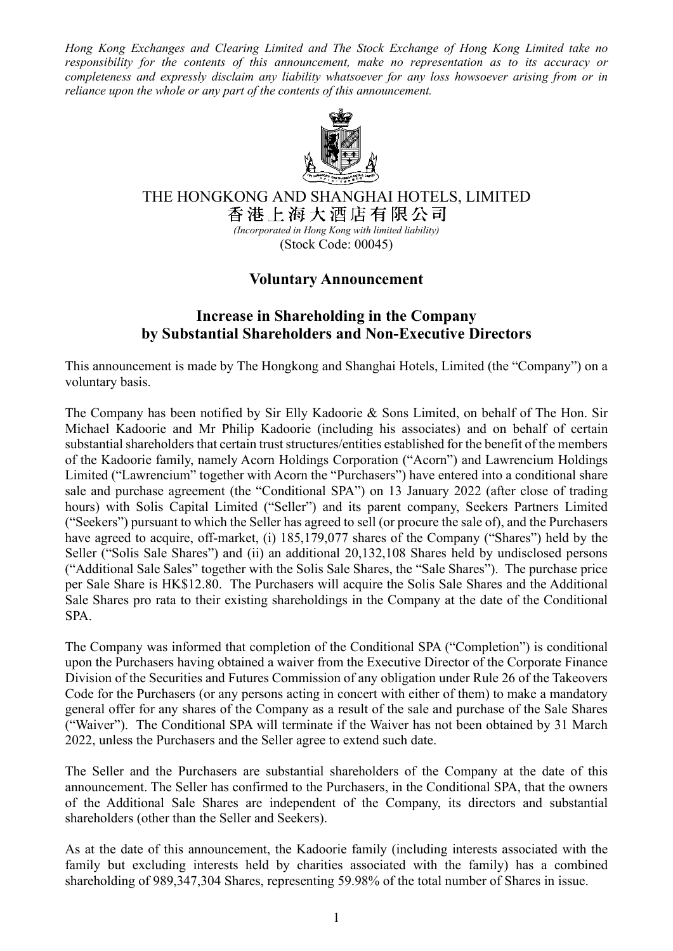*Hong Kong Exchanges and Clearing Limited and The Stock Exchange of Hong Kong Limited take no responsibility for the contents of this announcement, make no representation as to its accuracy or completeness and expressly disclaim any liability whatsoever for any loss howsoever arising from or in reliance upon the whole or any part of the contents of this announcement.*



THE HONGKONG AND SHANGHAI HOTELS, LIMITED<br>香港上海大酒店有限公司

*(Incorporated in Hong Kong with limited liability)* (Stock Code: 00045)

## **Voluntary Announcement**

## **Increase in Shareholding in the Company by Substantial Shareholders and Non-Executive Directors**

This announcement is made by The Hongkong and Shanghai Hotels, Limited (the "Company") on a voluntary basis.

The Company has been notified by Sir Elly Kadoorie & Sons Limited, on behalf of The Hon. Sir Michael Kadoorie and Mr Philip Kadoorie (including his associates) and on behalf of certain substantial shareholders that certain trust structures/entities established for the benefit of the members of the Kadoorie family, namely Acorn Holdings Corporation ("Acorn") and Lawrencium Holdings Limited ("Lawrencium" together with Acorn the "Purchasers") have entered into a conditional share sale and purchase agreement (the "Conditional SPA") on 13 January 2022 (after close of trading hours) with Solis Capital Limited ("Seller") and its parent company, Seekers Partners Limited ("Seekers") pursuant to which the Seller has agreed to sell (or procure the sale of), and the Purchasers have agreed to acquire, off-market, (i) 185,179,077 shares of the Company ("Shares") held by the Seller ("Solis Sale Shares") and (ii) an additional 20,132,108 Shares held by undisclosed persons ("Additional Sale Sales" together with the Solis Sale Shares, the "Sale Shares"). The purchase price per Sale Share is HK\$12.80. The Purchasers will acquire the Solis Sale Shares and the Additional Sale Shares pro rata to their existing shareholdings in the Company at the date of the Conditional SPA.

The Company was informed that completion of the Conditional SPA ("Completion") is conditional upon the Purchasers having obtained a waiver from the Executive Director of the Corporate Finance Division of the Securities and Futures Commission of any obligation under Rule 26 of the Takeovers Code for the Purchasers (or any persons acting in concert with either of them) to make a mandatory general offer for any shares of the Company as a result of the sale and purchase of the Sale Shares ("Waiver"). The Conditional SPA will terminate if the Waiver has not been obtained by 31 March 2022, unless the Purchasers and the Seller agree to extend such date.

The Seller and the Purchasers are substantial shareholders of the Company at the date of this announcement. The Seller has confirmed to the Purchasers, in the Conditional SPA, that the owners of the Additional Sale Shares are independent of the Company, its directors and substantial shareholders (other than the Seller and Seekers).

As at the date of this announcement, the Kadoorie family (including interests associated with the family but excluding interests held by charities associated with the family) has a combined shareholding of 989,347,304 Shares, representing 59.98% of the total number of Shares in issue.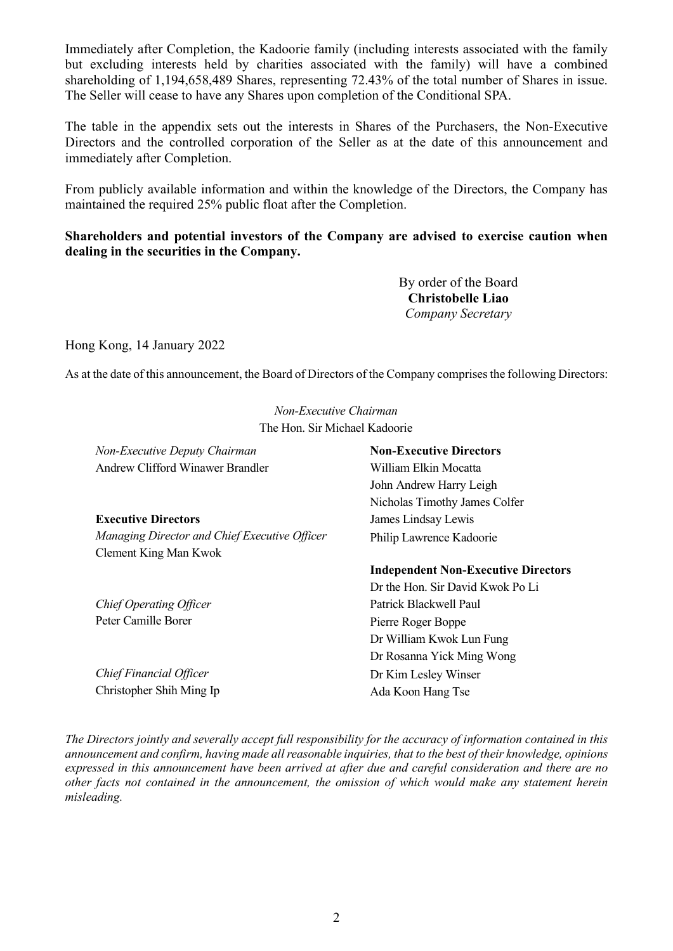Immediately after Completion, the Kadoorie family (including interests associated with the family but excluding interests held by charities associated with the family) will have a combined shareholding of 1,194,658,489 Shares, representing 72.43% of the total number of Shares in issue. The Seller will cease to have any Shares upon completion of the Conditional SPA.

The table in the appendix sets out the interests in Shares of the Purchasers, the Non-Executive Directors and the controlled corporation of the Seller as at the date of this announcement and immediately after Completion.

From publicly available information and within the knowledge of the Directors, the Company has maintained the required 25% public float after the Completion.

## **Shareholders and potential investors of the Company are advised to exercise caution when dealing in the securities in the Company.**

By order of the Board **Christobelle Liao** *Company Secretary*

Hong Kong, 14 January 2022

As at the date of this announcement, the Board of Directors of the Company comprises the following Directors:

*Non-Executive Chairman* The Hon. Sir Michael Kadoorie

| Non-Executive Deputy Chairman                 | <b>Non-Executive Directors</b>             |  |
|-----------------------------------------------|--------------------------------------------|--|
| <b>Andrew Clifford Winawer Brandler</b>       | William Elkin Mocatta                      |  |
|                                               | John Andrew Harry Leigh                    |  |
|                                               | Nicholas Timothy James Colfer              |  |
| <b>Executive Directors</b>                    | James Lindsay Lewis                        |  |
| Managing Director and Chief Executive Officer | Philip Lawrence Kadoorie                   |  |
| Clement King Man Kwok                         |                                            |  |
|                                               | <b>Independent Non-Executive Directors</b> |  |
|                                               | Dr the Hon. Sir David Kwok Po Li           |  |
| <b>Chief Operating Officer</b>                | Patrick Blackwell Paul                     |  |
| Peter Camille Borer                           | Pierre Roger Boppe                         |  |
|                                               | Dr William Kwok Lun Fung                   |  |
|                                               | Dr Rosanna Yick Ming Wong                  |  |
| Chief Financial Officer                       | Dr Kim Lesley Winser                       |  |
| Christopher Shih Ming Ip                      | Ada Koon Hang Tse                          |  |

*The Directors jointly and severally accept full responsibility for the accuracy of information contained in this announcement and confirm, having made all reasonable inquiries, that to the best of their knowledge, opinions expressed in this announcement have been arrived at after due and careful consideration and there are no other facts not contained in the announcement, the omission of which would make any statement herein misleading.*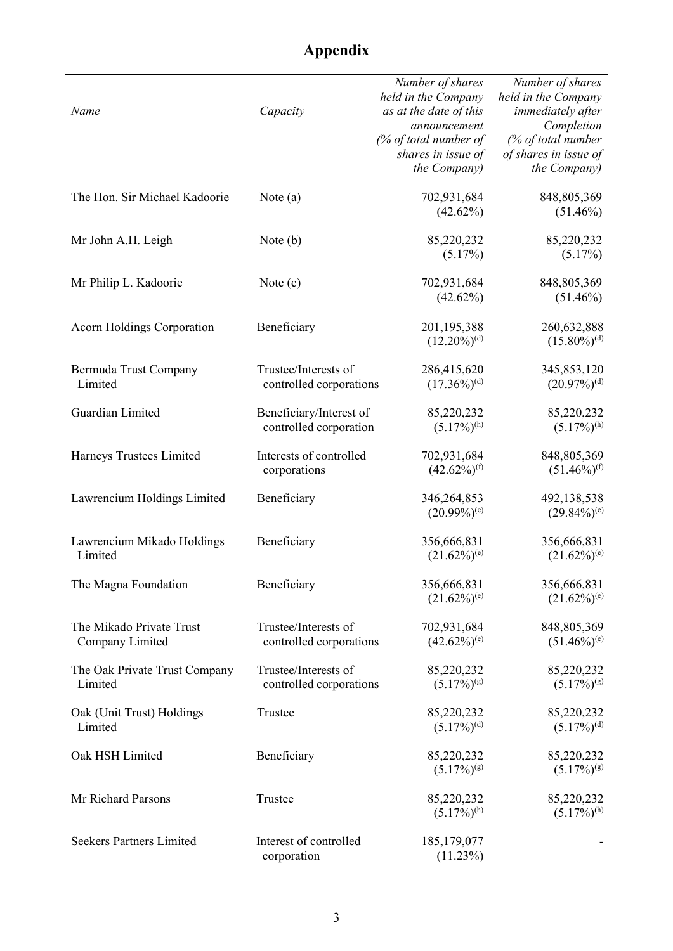| Name                                        | Capacity                                          | Number of shares<br>held in the Company<br>as at the date of this<br>announcement<br>$\frac{1}{2}$ of total number of<br>shares in issue of<br>the Company) | Number of shares<br>held in the Company<br>immediately after<br>Completion<br>(% of total number<br>of shares in issue of<br>the Company) |
|---------------------------------------------|---------------------------------------------------|-------------------------------------------------------------------------------------------------------------------------------------------------------------|-------------------------------------------------------------------------------------------------------------------------------------------|
| The Hon. Sir Michael Kadoorie               | Note $(a)$                                        | 702,931,684<br>(42.62%)                                                                                                                                     | 848, 805, 369<br>$(51.46\%)$                                                                                                              |
| Mr John A.H. Leigh                          | Note $(b)$                                        | 85,220,232<br>(5.17%)                                                                                                                                       | 85,220,232<br>(5.17%)                                                                                                                     |
| Mr Philip L. Kadoorie                       | Note $(c)$                                        | 702,931,684<br>(42.62%)                                                                                                                                     | 848, 805, 369<br>$(51.46\%)$                                                                                                              |
| <b>Acorn Holdings Corporation</b>           | Beneficiary                                       | 201,195,388<br>$(12.20\%)$ <sup>(d)</sup>                                                                                                                   | 260,632,888<br>$(15.80\%)$ <sup>(d)</sup>                                                                                                 |
| Bermuda Trust Company<br>Limited            | Trustee/Interests of<br>controlled corporations   | 286,415,620<br>$(17.36\%)$ <sup>(d)</sup>                                                                                                                   | 345,853,120<br>$(20.97\%)$ <sup>(d)</sup>                                                                                                 |
| Guardian Limited                            | Beneficiary/Interest of<br>controlled corporation | 85,220,232<br>$(5.17\%)^{(h)}$                                                                                                                              | 85,220,232<br>$(5.17\%)^{(h)}$                                                                                                            |
| Harneys Trustees Limited                    | Interests of controlled<br>corporations           | 702,931,684<br>$(42.62\%)$ <sup>(f)</sup>                                                                                                                   | 848, 805, 369<br>$(51.46\%)$ <sup>(f)</sup>                                                                                               |
| Lawrencium Holdings Limited                 | Beneficiary                                       | 346,264,853<br>$(20.99\%)^{(e)}$                                                                                                                            | 492,138,538<br>$(29.84\%)$ <sup>(e)</sup>                                                                                                 |
| Lawrencium Mikado Holdings<br>Limited       | Beneficiary                                       | 356,666,831<br>$(21.62\%)^{(e)}$                                                                                                                            | 356,666,831<br>$(21.62\%)^{(e)}$                                                                                                          |
| The Magna Foundation                        | Beneficiary                                       | 356,666,831<br>$(21.62\%)^{(e)}$                                                                                                                            | 356,666,831<br>$(21.62\%)$ <sup>(e)</sup>                                                                                                 |
| The Mikado Private Trust<br>Company Limited | Trustee/Interests of<br>controlled corporations   | 702,931,684<br>$(42.62\%)$ <sup>(e)</sup>                                                                                                                   | 848,805,369<br>$(51.46\%)$ <sup>(e)</sup>                                                                                                 |
| The Oak Private Trust Company<br>Limited    | Trustee/Interests of<br>controlled corporations   | 85,220,232<br>$(5.17\%)$ <sup>(g)</sup>                                                                                                                     | 85,220,232<br>$(5.17\%)$ <sup>(g)</sup>                                                                                                   |
| Oak (Unit Trust) Holdings<br>Limited        | Trustee                                           | 85,220,232<br>$(5.17\%)$ <sup>(d)</sup>                                                                                                                     | 85,220,232<br>$(5.17\%)$ <sup>(d)</sup>                                                                                                   |
| Oak HSH Limited                             | Beneficiary                                       | 85,220,232<br>$(5.17\%)$ <sup>(g)</sup>                                                                                                                     | 85,220,232<br>$(5.17\%)$ <sup>(g)</sup>                                                                                                   |
| Mr Richard Parsons                          | Trustee                                           | 85,220,232<br>$(5.17\%)^{(h)}$                                                                                                                              | 85,220,232<br>$(5.17\%)^{(h)}$                                                                                                            |
| <b>Seekers Partners Limited</b>             | Interest of controlled<br>corporation             | 185, 179, 077<br>(11.23%)                                                                                                                                   |                                                                                                                                           |

## **Appendix**